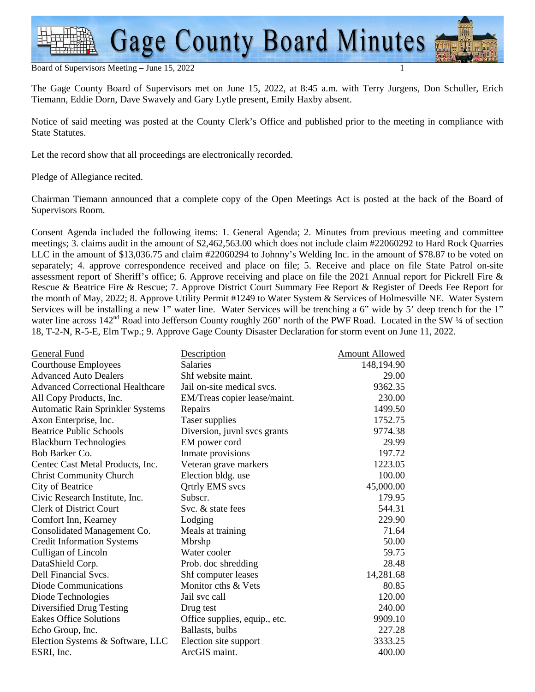#### Board of Supervisors Meeting - June 15, 2022

The Gage County Board of Supervisors met on June 15, 2022, at 8:45 a.m. with Terry Jurgens, Don Schuller, Erich Tiemann, Eddie Dorn, Dave Swavely and Gary Lytle present, Emily Haxby absent.

Notice of said meeting was posted at the County Clerk's Office and published prior to the meeting in compliance with State Statutes.

Let the record show that all proceedings are electronically recorded.

Pledge of Allegiance recited.

Chairman Tiemann announced that a complete copy of the Open Meetings Act is posted at the back of the Board of Supervisors Room.

Consent Agenda included the following items: 1. General Agenda; 2. Minutes from previous meeting and committee meetings; 3. claims audit in the amount of \$2,462,563.00 which does not include claim #22060292 to Hard Rock Quarries LLC in the amount of \$13,036.75 and claim #22060294 to Johnny's Welding Inc. in the amount of \$78.87 to be voted on separately; 4. approve correspondence received and place on file; 5. Receive and place on file State Patrol on-site assessment report of Sheriff's office; 6. Approve receiving and place on file the 2021 Annual report for Pickrell Fire & Rescue & Beatrice Fire & Rescue; 7. Approve District Court Summary Fee Report & Register of Deeds Fee Report for the month of May, 2022; 8. Approve Utility Permit #1249 to Water System & Services of Holmesville NE. Water System Services will be installing a new 1" water line. Water Services will be trenching a 6" wide by 5' deep trench for the 1" water line across  $142<sup>nd</sup>$  Road into Jefferson County roughly 260' north of the PWF Road. Located in the SW ¼ of section 18, T-2-N, R-5-E, Elm Twp.; 9. Approve Gage County Disaster Declaration for storm event on June 11, 2022.

| General Fund                            | Description                   | <b>Amount Allowed</b> |
|-----------------------------------------|-------------------------------|-----------------------|
| <b>Courthouse Employees</b>             | <b>Salaries</b>               | 148,194.90            |
| <b>Advanced Auto Dealers</b>            | Shf website maint.            | 29.00                 |
| <b>Advanced Correctional Healthcare</b> | Jail on-site medical svcs.    | 9362.35               |
| All Copy Products, Inc.                 | EM/Treas copier lease/maint.  | 230.00                |
| <b>Automatic Rain Sprinkler Systems</b> | Repairs                       | 1499.50               |
| Axon Enterprise, Inc.                   | Taser supplies                | 1752.75               |
| <b>Beatrice Public Schools</b>          | Diversion, juvnl svcs grants  | 9774.38               |
| <b>Blackburn Technologies</b>           | EM power cord                 | 29.99                 |
| Bob Barker Co.                          | Inmate provisions             | 197.72                |
| Centec Cast Metal Products, Inc.        | Veteran grave markers         | 1223.05               |
| <b>Christ Community Church</b>          | Election bldg. use            | 100.00                |
| City of Beatrice                        | <b>Qrtrly EMS</b> svcs        | 45,000.00             |
| Civic Research Institute, Inc.          | Subscr.                       | 179.95                |
| <b>Clerk of District Court</b>          | Svc. & state fees             | 544.31                |
| Comfort Inn, Kearney                    | Lodging                       | 229.90                |
| Consolidated Management Co.             | Meals at training             | 71.64                 |
| <b>Credit Information Systems</b>       | Mbrshp                        | 50.00                 |
| Culligan of Lincoln                     | Water cooler                  | 59.75                 |
| DataShield Corp.                        | Prob. doc shredding           | 28.48                 |
| Dell Financial Svcs.                    | Shf computer leases           | 14,281.68             |
| Diode Communications                    | Monitor cths & Vets           | 80.85                 |
| Diode Technologies                      | Jail svc call                 | 120.00                |
| Diversified Drug Testing                | Drug test                     | 240.00                |
| <b>Eakes Office Solutions</b>           | Office supplies, equip., etc. | 9909.10               |
| Echo Group, Inc.                        | Ballasts, bulbs               | 227.28                |
| Election Systems & Software, LLC        | Election site support         | 3333.25               |
| ESRI, Inc.                              | ArcGIS maint.                 | 400.00                |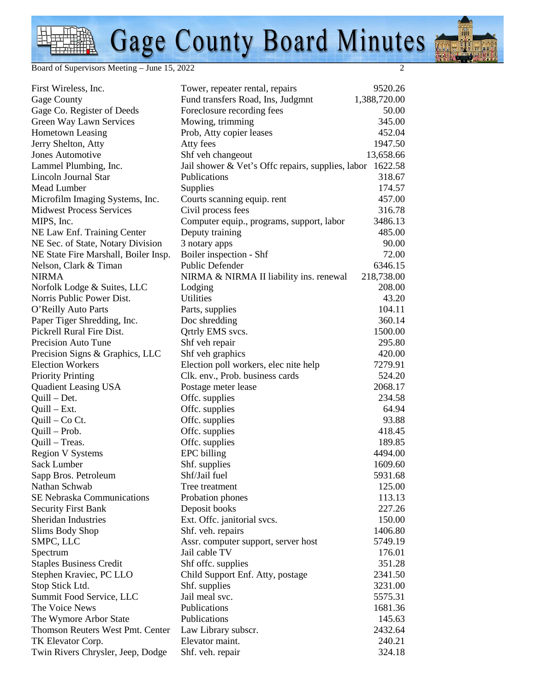Board of Supervisors Meeting – June 15, 2022 2

| First Wireless, Inc.                 | Tower, repeater rental, repairs                           | 9520.26      |
|--------------------------------------|-----------------------------------------------------------|--------------|
| Gage County                          | Fund transfers Road, Ins, Judgmnt                         | 1,388,720.00 |
| Gage Co. Register of Deeds           | Foreclosure recording fees                                | 50.00        |
| Green Way Lawn Services              | Mowing, trimming                                          | 345.00       |
| Hometown Leasing                     | Prob, Atty copier leases                                  | 452.04       |
| Jerry Shelton, Atty                  | Atty fees                                                 | 1947.50      |
| Jones Automotive                     | Shf veh changeout                                         | 13,658.66    |
| Lammel Plumbing, Inc.                | Jail shower & Vet's Offc repairs, supplies, labor 1622.58 |              |
| Lincoln Journal Star                 | Publications                                              | 318.67       |
| Mead Lumber                          | Supplies                                                  | 174.57       |
| Microfilm Imaging Systems, Inc.      | Courts scanning equip. rent                               | 457.00       |
| <b>Midwest Process Services</b>      | Civil process fees                                        | 316.78       |
| MIPS, Inc.                           | Computer equip., programs, support, labor                 | 3486.13      |
| NE Law Enf. Training Center          | Deputy training                                           | 485.00       |
| NE Sec. of State, Notary Division    | 3 notary apps                                             | 90.00        |
| NE State Fire Marshall, Boiler Insp. | Boiler inspection - Shf                                   | 72.00        |
| Nelson, Clark & Timan                | Public Defender                                           | 6346.15      |
| <b>NIRMA</b>                         | NIRMA & NIRMA II liability ins. renewal                   | 218,738.00   |
| Norfolk Lodge & Suites, LLC          | Lodging                                                   | 208.00       |
| Norris Public Power Dist.            | <b>Utilities</b>                                          | 43.20        |
| O'Reilly Auto Parts                  | Parts, supplies                                           | 104.11       |
| Paper Tiger Shredding, Inc.          | Doc shredding                                             | 360.14       |
| Pickrell Rural Fire Dist.            | Qrtrly EMS svcs.                                          | 1500.00      |
| Precision Auto Tune                  | Shf veh repair                                            | 295.80       |
| Precision Signs & Graphics, LLC      | Shf veh graphics                                          | 420.00       |
| <b>Election Workers</b>              | Election poll workers, elec nite help                     | 7279.91      |
| <b>Priority Printing</b>             | Clk. env., Prob. business cards                           | 524.20       |
| <b>Quadient Leasing USA</b>          | Postage meter lease                                       | 2068.17      |
| $Quill - Det.$                       | Offc. supplies                                            | 234.58       |
| $Quill - Ext.$                       | Offc. supplies                                            | 64.94        |
| $Quill - Co Ct.$                     | Offc. supplies                                            | 93.88        |
| Quill – Prob.                        | Offc. supplies                                            | 418.45       |
| Quill – Treas.                       | Offc. supplies                                            | 189.85       |
| <b>Region V Systems</b>              | <b>EPC</b> billing                                        | 4494.00      |
| Sack Lumber                          | Shf. supplies                                             | 1609.60      |
| Sapp Bros. Petroleum                 | Shf/Jail fuel                                             | 5931.68      |
| Nathan Schwab                        | Tree treatment                                            | 125.00       |
| SE Nebraska Communications           | Probation phones                                          | 113.13       |
| <b>Security First Bank</b>           | Deposit books                                             | 227.26       |
| Sheridan Industries                  | Ext. Offc. janitorial svcs.                               | 150.00       |
| Slims Body Shop                      | Shf. veh. repairs                                         | 1406.80      |
| SMPC, LLC                            | Assr. computer support, server host                       | 5749.19      |
| Spectrum                             | Jail cable TV                                             | 176.01       |
| <b>Staples Business Credit</b>       | Shf offc. supplies                                        | 351.28       |
| Stephen Kraviec, PC LLO              | Child Support Enf. Atty, postage                          | 2341.50      |
| Stop Stick Ltd.                      | Shf. supplies                                             | 3231.00      |
| Summit Food Service, LLC             | Jail meal svc.                                            | 5575.31      |
| The Voice News                       | Publications                                              | 1681.36      |
| The Wymore Arbor State               | Publications                                              | 145.63       |
| Thomson Reuters West Pmt. Center     | Law Library subscr.                                       | 2432.64      |
| TK Elevator Corp.                    | Elevator maint.                                           | 240.21       |
| Twin Rivers Chrysler, Jeep, Dodge    | Shf. veh. repair                                          | 324.18       |
|                                      |                                                           |              |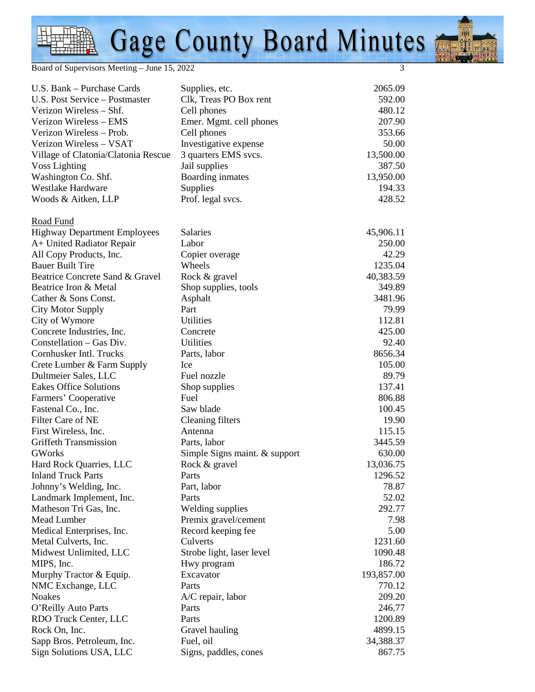Board of Supervisors Meeting – June 15, 2022 3

| U.S. Bank - Purchase Cards          | Supplies, etc.                | 2065.09    |
|-------------------------------------|-------------------------------|------------|
| U.S. Post Service – Postmaster      | Clk, Treas PO Box rent        | 592.00     |
| Verizon Wireless - Shf.             | Cell phones                   | 480.12     |
| Verizon Wireless - EMS              | Emer. Mgmt. cell phones       | 207.90     |
| Verizon Wireless – Prob.            | Cell phones                   | 353.66     |
| Verizon Wireless - VSAT             | Investigative expense         | 50.00      |
| Village of Clatonia/Clatonia Rescue | 3 quarters EMS svcs.          | 13,500.00  |
| <b>Voss Lighting</b>                | Jail supplies                 | 387.50     |
| Washington Co. Shf.                 | Boarding inmates              | 13,950.00  |
| <b>Westlake Hardware</b>            | Supplies                      | 194.33     |
| Woods & Aitken, LLP                 | Prof. legal svcs.             | 428.52     |
| Road Fund                           |                               |            |
| <b>Highway Department Employees</b> | Salaries                      | 45,906.11  |
| A+ United Radiator Repair           | Labor                         | 250.00     |
| All Copy Products, Inc.             | Copier overage                | 42.29      |
| <b>Bauer Built Tire</b>             | Wheels                        | 1235.04    |
| Beatrice Concrete Sand & Gravel     | Rock & gravel                 | 40,383.59  |
| Beatrice Iron & Metal               | Shop supplies, tools          | 349.89     |
| Cather & Sons Const.                | Asphalt                       | 3481.96    |
| City Motor Supply                   | Part                          | 79.99      |
| City of Wymore                      | Utilities                     | 112.81     |
| Concrete Industries, Inc.           | Concrete                      | 425.00     |
| Constellation – Gas Div.            | Utilities                     | 92.40      |
| Cornhusker Intl. Trucks             | Parts, labor                  | 8656.34    |
| Crete Lumber & Farm Supply          | Ice                           | 105.00     |
| Dultmeier Sales, LLC                | Fuel nozzle                   | 89.79      |
| Eakes Office Solutions              | Shop supplies                 | 137.41     |
| Farmers' Cooperative                | Fuel                          | 806.88     |
| Fastenal Co., Inc.                  | Saw blade                     | 100.45     |
| Filter Care of NE                   | Cleaning filters              | 19.90      |
| First Wireless, Inc.                | Antenna                       | 115.15     |
| <b>Griffeth Transmission</b>        | Parts, labor                  | 3445.59    |
| <b>GWorks</b>                       | Simple Signs maint. & support | 630.00     |
| Hard Rock Quarries, LLC             | Rock & gravel                 | 13,036.75  |
| <b>Inland Truck Parts</b>           | Parts                         | 1296.52    |
| Johnny's Welding, Inc.              | Part, labor                   | 78.87      |
| Landmark Implement, Inc.            | Parts                         | 52.02      |
| Matheson Tri Gas, Inc.              | <b>Welding supplies</b>       | 292.77     |
| Mead Lumber                         | Premix gravel/cement          | 7.98       |
| Medical Enterprises, Inc.           | Record keeping fee            | 5.00       |
| Metal Culverts, Inc.                | Culverts                      | 1231.60    |
| Midwest Unlimited, LLC              | Strobe light, laser level     | 1090.48    |
| MIPS, Inc.                          | Hwy program                   | 186.72     |
| Murphy Tractor & Equip.             | Excavator                     | 193,857.00 |
| NMC Exchange, LLC                   | Parts                         | 770.12     |
| <b>Noakes</b>                       | A/C repair, labor             | 209.20     |
| O'Reilly Auto Parts                 | Parts                         | 246.77     |
| RDO Truck Center, LLC               | Parts                         | 1200.89    |
| Rock On, Inc.                       | Gravel hauling                | 4899.15    |
| Sapp Bros. Petroleum, Inc.          | Fuel, oil                     | 34,388.37  |
| Sign Solutions USA, LLC             | Signs, paddles, cones         | 867.75     |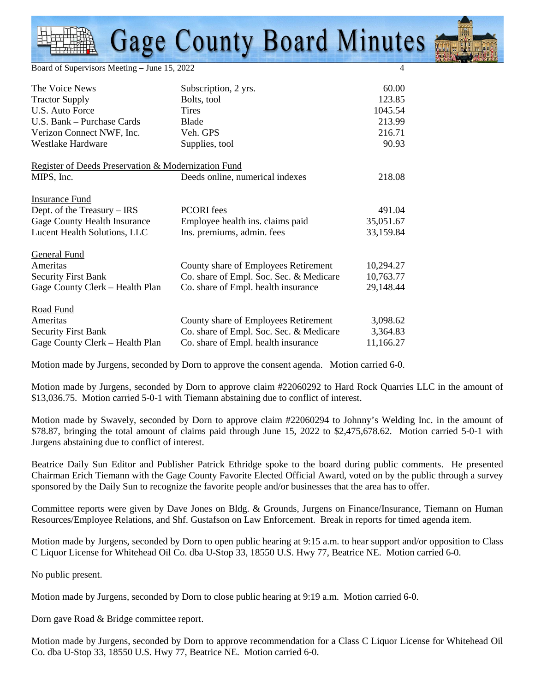Board of Supervisors Meeting – June 15, 2022 4

| The Voice News                                      | Subscription, 2 yrs.                    | 60.00     |
|-----------------------------------------------------|-----------------------------------------|-----------|
| <b>Tractor Supply</b>                               | Bolts, tool                             | 123.85    |
| U.S. Auto Force                                     | <b>Tires</b>                            | 1045.54   |
| U.S. Bank – Purchase Cards                          | Blade                                   | 213.99    |
| Verizon Connect NWF, Inc.                           | Veh. GPS                                | 216.71    |
| <b>Westlake Hardware</b>                            | Supplies, tool                          | 90.93     |
| Register of Deeds Preservation & Modernization Fund |                                         |           |
| MIPS, Inc.                                          | Deeds online, numerical indexes         | 218.08    |
| <b>Insurance Fund</b>                               |                                         |           |
| Dept. of the Treasury $-$ IRS                       | <b>PCORI</b> fees                       | 491.04    |
| Gage County Health Insurance                        | Employee health ins. claims paid        | 35,051.67 |
| Lucent Health Solutions, LLC                        | Ins. premiums, admin. fees              | 33,159.84 |
| <b>General Fund</b>                                 |                                         |           |
| Ameritas                                            | County share of Employees Retirement    | 10,294.27 |
| <b>Security First Bank</b>                          | Co. share of Empl. Soc. Sec. & Medicare | 10,763.77 |
| Gage County Clerk – Health Plan                     | Co. share of Empl. health insurance     | 29,148.44 |
| Road Fund                                           |                                         |           |
| Ameritas                                            | County share of Employees Retirement    | 3,098.62  |
| <b>Security First Bank</b>                          | Co. share of Empl. Soc. Sec. & Medicare | 3,364.83  |
| Gage County Clerk - Health Plan                     | Co. share of Empl. health insurance     | 11,166.27 |

Motion made by Jurgens, seconded by Dorn to approve the consent agenda. Motion carried 6-0.

Motion made by Jurgens, seconded by Dorn to approve claim #22060292 to Hard Rock Quarries LLC in the amount of \$13,036.75. Motion carried 5-0-1 with Tiemann abstaining due to conflict of interest.

Motion made by Swavely, seconded by Dorn to approve claim #22060294 to Johnny's Welding Inc. in the amount of \$78.87, bringing the total amount of claims paid through June 15, 2022 to \$2,475,678.62. Motion carried 5-0-1 with Jurgens abstaining due to conflict of interest.

Beatrice Daily Sun Editor and Publisher Patrick Ethridge spoke to the board during public comments. He presented Chairman Erich Tiemann with the Gage County Favorite Elected Official Award, voted on by the public through a survey sponsored by the Daily Sun to recognize the favorite people and/or businesses that the area has to offer.

Committee reports were given by Dave Jones on Bldg. & Grounds, Jurgens on Finance/Insurance, Tiemann on Human Resources/Employee Relations, and Shf. Gustafson on Law Enforcement. Break in reports for timed agenda item.

Motion made by Jurgens, seconded by Dorn to open public hearing at 9:15 a.m. to hear support and/or opposition to Class C Liquor License for Whitehead Oil Co. dba U-Stop 33, 18550 U.S. Hwy 77, Beatrice NE. Motion carried 6-0.

No public present.

Motion made by Jurgens, seconded by Dorn to close public hearing at 9:19 a.m. Motion carried 6-0.

Dorn gave Road & Bridge committee report.

Motion made by Jurgens, seconded by Dorn to approve recommendation for a Class C Liquor License for Whitehead Oil Co. dba U-Stop 33, 18550 U.S. Hwy 77, Beatrice NE. Motion carried 6-0.